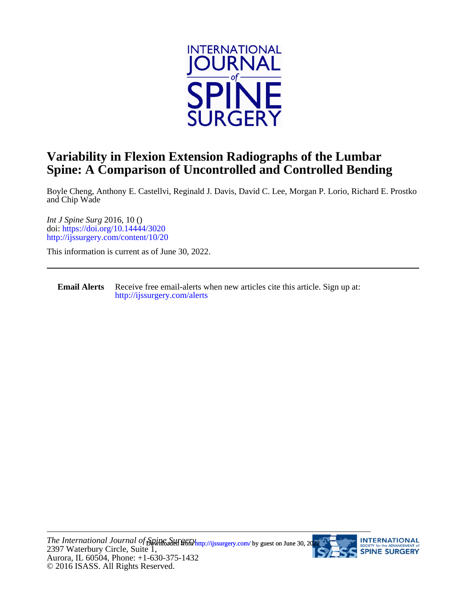

## **Spine: A Comparison of Uncontrolled and Controlled Bending Variability in Flexion Extension Radiographs of the Lumbar**

and Chip Wade Boyle Cheng, Anthony E. Castellvi, Reginald J. Davis, David C. Lee, Morgan P. Lorio, Richard E. Prostko

<http://ijssurgery.com/content/10/20> doi:<https://doi.org/10.14444/3020> *Int J Spine Surg* 2016, 10 ()

This information is current as of June 30, 2022.

**Email Alerts** [http://ijssurgery.com/alerts](http://jpm.iijournals.com/alerts) Receive free email-alerts when new articles cite this article. Sign up at: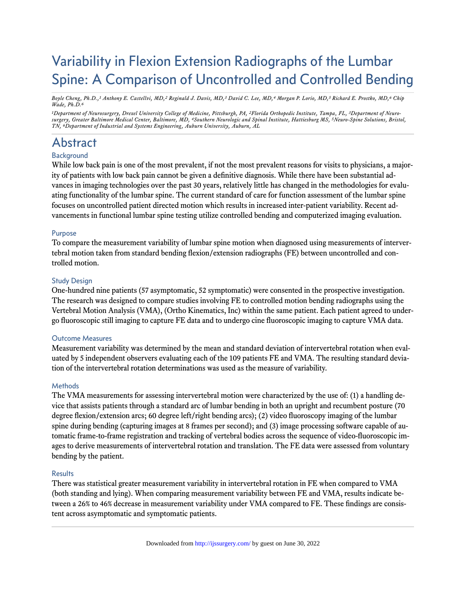# Variability in Flexion Extension Radiographs of the Lumbar Spine: A Comparison of Uncontrolled and Controlled Bending

Boyle Cheng, Ph.D.,<sup>1</sup> Anthony E. Castellvi, MD,<sup>2</sup> Reginald J. Davis, MD,<sup>3</sup> David C. Lee, MD,<sup>4</sup> Morgan P. Lorio, MD,<sup>5</sup> Richard E. Prostko, MD,6 Chip *Wade, Ph.D.6*

*1Department of Neurosurgery, Drexel University College of Medicine, Pittsburgh, PA, 2Florida Orthopedic Institute, Tampa, FL, 3Department of Neurosurgery, Greater Baltimore Medical Center, Baltimore, MD, 4Southern Neurologic and Spinal Institute, Hattiesburg MS, 5Neuro-Spine Solutions, Bristol, TN, 6Department of Industrial and Systems Engineering, Auburn University, Auburn, AL*

## Abstract

### **Background**

While low back pain is one of the most prevalent, if not the most prevalent reasons for visits to physicians, a majority of patients with low back pain cannot be given a definitive diagnosis. While there have been substantial advances in imaging technologies over the past 30 years, relatively little has changed in the methodologies for evaluating functionality of the lumbar spine. The current standard of care for function assessment of the lumbar spine focuses on uncontrolled patient directed motion which results in increased inter-patient variability. Recent advancements in functional lumbar spine testing utilize controlled bending and computerized imaging evaluation.

### Purpose

To compare the measurement variability of lumbar spine motion when diagnosed using measurements of intervertebral motion taken from standard bending flexion/extension radiographs (FE) between uncontrolled and controlled motion.

### Study Design

One-hundred nine patients (57 asymptomatic, 52 symptomatic) were consented in the prospective investigation. The research was designed to compare studies involving FE to controlled motion bending radiographs using the Vertebral Motion Analysis (VMA), (Ortho Kinematics, Inc) within the same patient. Each patient agreed to undergo fluoroscopic still imaging to capture FE data and to undergo cine fluoroscopic imaging to capture VMA data.

### Outcome Measures

Measurement variability was determined by the mean and standard deviation of intervertebral rotation when evaluated by 5 independent observers evaluating each of the 109 patients FE and VMA. The resulting standard deviation of the intervertebral rotation determinations was used as the measure of variability.

### **Methods**

The VMA measurements for assessing intervertebral motion were characterized by the use of: (1) a handling device that assists patients through a standard arc of lumbar bending in both an upright and recumbent posture (70 degree flexion/extension arcs; 60 degree left/right bending arcs); (2) video fluoroscopy imaging of the lumbar spine during bending (capturing images at 8 frames per second); and (3) image processing software capable of automatic frame-to-frame registration and tracking of vertebral bodies across the sequence of video-fluoroscopic images to derive measurements of intervertebral rotation and translation. The FE data were assessed from voluntary bending by the patient.

### **Results**

There was statistical greater measurement variability in intervertebral rotation in FE when compared to VMA (both standing and lying). When comparing measurement variability between FE and VMA, results indicate between a 26% to 46% decrease in measurement variability under VMA compared to FE. These findings are consistent across asymptomatic and symptomatic patients.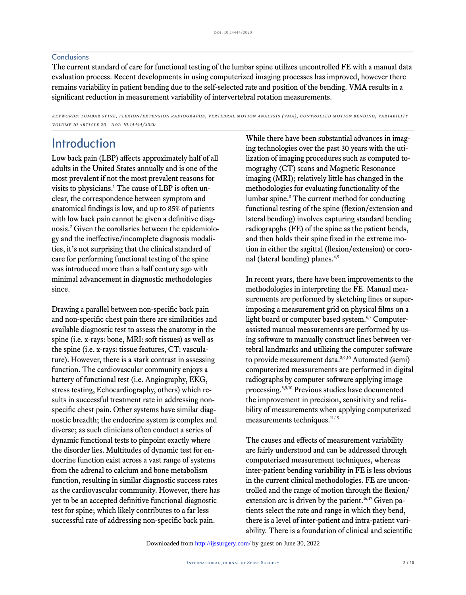#### **Conclusions**

The current standard of care for functional testing of the lumbar spine utilizes uncontrolled FE with a manual data evaluation process. Recent developments in using computerized imaging processes has improved, however there remains variability in patient bending due to the self-selected rate and position of the bending. VMA results in a significant reduction in measurement variability of intervertebral rotation measurements.

keywords: lumbar spine, flexion/extension radiographs, vertebral motion analysis (vma), controlled motion bending, variability volume 10 article 20 doi: 10.14444/3020

## **Introduction**

Low back pain (LBP) affects approximately half of all adults in the United States annually and is one of the most prevalent if not the most prevalent reasons for visits to physicians.<sup>1</sup> The cause of LBP is often unclear, the correspondence between symptom and anatomical findings is low, and up to 85% of patients with low back pain cannot be given a definitive diagnosis.<sup>2</sup> Given the corollaries between the epidemiology and the ineffective/incomplete diagnosis modalities, it's not surprising that the clinical standard of care for performing functional testing of the spine was introduced more than a half century ago with minimal advancement in diagnostic methodologies since.

Drawing a parallel between non-specific back pain and non-specific chest pain there are similarities and available diagnostic test to assess the anatomy in the spine (i.e. x-rays: bone, MRI: soft tissues) as well as the spine (i.e. x-rays: tissue features, CT: vasculature). However, there is a stark contrast in assessing function. The cardiovascular community enjoys a battery of functional test (i.e. Angiography, EKG, stress testing, Echocardiography, others) which results in successful treatment rate in addressing nonspecific chest pain. Other systems have similar diagnostic breadth; the endocrine system is complex and diverse; as such clinicians often conduct a series of dynamic functional tests to pinpoint exactly where the disorder lies. Multitudes of dynamic test for endocrine function exist across a vast range of systems from the adrenal to calcium and bone metabolism function, resulting in similar diagnostic success rates as the cardiovascular community. However, there has yet to be an accepted definitive functional diagnostic test for spine; which likely contributes to a far less successful rate of addressing non-specific back pain.

While there have been substantial advances in imaging technologies over the past 30 years with the utilization of imaging procedures such as computed tomograghy (CT) scans and Magnetic Resonance imaging (MRI); relatively little has changed in the methodologies for evaluating functionality of the lumbar spine.<sup>3</sup> The current method for conducting functional testing of the spine (flexion/extension and lateral bending) involves capturing standard bending radiograpghs (FE) of the spine as the patient bends, and then holds their spine fixed in the extreme motion in either the sagittal (flexion/extension) or coronal (lateral bending) planes.<sup>4,5</sup>

In recent years, there have been improvements to the methodologies in interpreting the FE. Manual measurements are performed by sketching lines or superimposing a measurement grid on physical films on a light board or computer based system.<sup>6,7</sup> Computerassisted manual measurements are performed by using software to manually construct lines between vertebral landmarks and utilizing the computer software to provide measurement data.<sup>8,9,10</sup> Automated (semi) computerized measurements are performed in digital radiographs by computer software applying image processing.8,9,10 Previous studies have documented the improvement in precision, sensitivity and reliability of measurements when applying computerized measurements techniques.<sup>11-15</sup>

The causes and effects of measurement variability are fairly understood and can be addressed through computerized measurement techniques, whereas inter-patient bending variability in FE is less obvious in the current clinical methodologies. FE are uncontrolled and the range of motion through the flexion/ extension arc is driven by the patient. $16,17$  Given patients select the rate and range in which they bend, there is a level of inter-patient and intra-patient variability. There is a foundation of clinical and scientific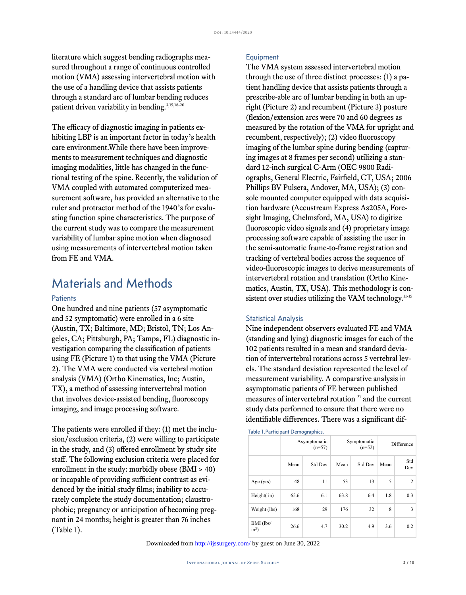literature which suggest bending radiographs measured throughout a range of continuous controlled motion (VMA) assessing intervertebral motion with the use of a handling device that assists patients through a standard arc of lumbar bending reduces patient driven variability in bending.<sup>3,15,18-20</sup>

The efficacy of diagnostic imaging in patients exhibiting LBP is an important factor in today's health care environment.While there have been improvements to measurement techniques and diagnostic imaging modalities, little has changed in the functional testing of the spine. Recently, the validation of VMA coupled with automated computerized measurement software, has provided an alternative to the ruler and protractor method of the 1940's for evaluating function spine characteristics. The purpose of the current study was to compare the measurement variability of lumbar spine motion when diagnosed using measurements of intervertebral motion taken from FE and VMA.

## Materials and Methods

#### **Patients**

One hundred and nine patients (57 asymptomatic and 52 symptomatic) were enrolled in a 6 site (Austin, TX; Baltimore, MD; Bristol, TN; Los Angeles, CA; Pittsburgh, PA; Tampa, FL) diagnostic investigation comparing the classification of patients using FE (Picture 1) to that using the VMA (Picture 2). The VMA were conducted via vertebral motion analysis (VMA) (Ortho Kinematics, Inc; Austin, TX), a method of assessing intervertebral motion that involves device-assisted bending, fluoroscopy imaging, and image processing software.

<span id="page-3-0"></span>The patients were enrolled if they: (1) met the inclusion/exclusion criteria, (2) were willing to participate in the study, and (3) offered enrollment by study site staff. The following exclusion criteria were placed for enrollment in the study: morbidly obese (BMI > 40) or incapable of providing sufficient contrast as evidenced by the initial study films; inability to accurately complete the study documentation; claustrophobic; pregnancy or anticipation of becoming pregnant in 24 months; height is greater than 76 inches ([Table 1\)](#page-3-0).

### **Equipment**

The VMA system assessed intervertebral motion through the use of three distinct processes: (1) a patient handling device that assists patients through a prescribe-able arc of lumbar bending in both an upright (Picture 2) and recumbent (Picture 3) posture (flexion/extension arcs were 70 and 60 degrees as measured by the rotation of the VMA for upright and recumbent, respectively); (2) video fluoroscopy imaging of the lumbar spine during bending (capturing images at 8 frames per second) utilizing a standard 12-inch surgical C-Arm (OEC 9800 Radiographs, General Electric, Fairfield, CT, USA; 2006 Phillips BV Pulsera, Andover, MA, USA); (3) console mounted computer equipped with data acquisition hardware (Accustream Express As205A, Foresight Imaging, Chelmsford, MA, USA) to digitize fluoroscopic video signals and (4) proprietary image processing software capable of assisting the user in the semi-automatic frame-to-frame registration and tracking of vertebral bodies across the sequence of video-fluoroscopic images to derive measurements of intervertebral rotation and translation (Ortho Kinematics, Austin, TX, USA). This methodology is consistent over studies utilizing the VAM technology. $11-15$ 

#### Statistical Analysis

Nine independent observers evaluated FE and VMA (standing and lying) diagnostic images for each of the 102 patients resulted in a mean and standard deviation of intervertebral rotations across 5 vertebral levels. The standard deviation represented the level of measurement variability. A comparative analysis in asymptomatic patients of FE between published measures of intervertebral rotation <sup>21</sup> and the current study data performed to ensure that there were no identifiable differences. There was a significant dif-

Table 1.Participant Demographics.

|                      |      | Asymptomatic<br>$(n=57)$ |      | Symptomatic<br>$(n=52)$ | Difference |            |  |
|----------------------|------|--------------------------|------|-------------------------|------------|------------|--|
|                      | Mean | <b>Std Dev</b>           | Mean | <b>Std Dev</b>          | Mean       | Std<br>Dev |  |
| Age $(yrs)$          | 48   | 11                       | 53   | 13                      | 5          | 2          |  |
| Height(in)           | 65.6 | 6.1                      | 63.8 | 6.4                     | 1.8        | 0.3        |  |
| Weight (lbs)         | 168  | 29                       | 176  | 32                      | 8          | 3          |  |
| BMI (lbs/<br>$in2$ ) | 26.6 | 4.7                      | 30.2 | 4.9                     | 3.6        | 0.2        |  |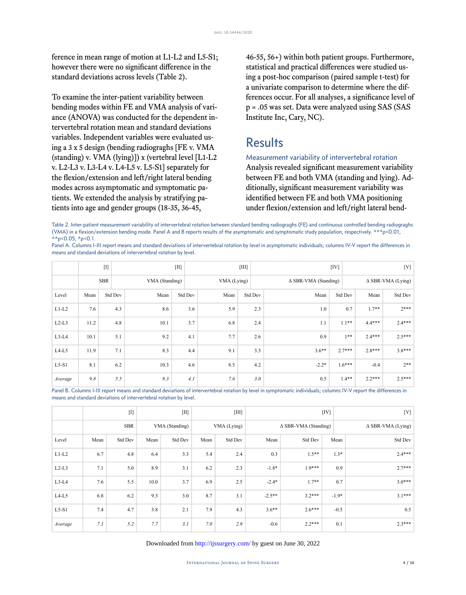ference in mean range of motion at L1-L2 and L5-S1; however there were no significant difference in the standard deviations across levels ([Table 2\)](#page-4-0).

To examine the inter-patient variability between bending modes within FE and VMA analysis of variance (ANOVA) was conducted for the dependent intervertebral rotation mean and standard deviations variables. Independent variables were evaluated using a 3 x 5 design (bending radiograghs [FE v. VMA (standing) v. VMA (lying)]) x (vertebral level [L1-L2 v. L2-L3 v. L3-L4 v. L4-L5 v. L5-S1] separately for the flexion/extension and left/right lateral bending modes across asymptomatic and symptomatic patients. We extended the analysis by stratifying patients into age and gender groups (18-35, 36-45,

46-55, 56+) within both patient groups. Furthermore, statistical and practical differences were studied using a post-hoc comparison (paired sample t-test) for a univariate comparison to determine where the differences occur. For all analyses, a significance level of p = .05 was set. Data were analyzed using SAS (SAS Institute Inc, Cary, NC).

## **Results**

Measurement variability of intervertebral rotation Analysis revealed significant measurement variability

between FE and both VMA (standing and lying). Additionally, significant measurement variability was identified between FE and both VMA positioning under flexion/extension and left/right lateral bend-

<span id="page-4-0"></span>Table 2. Inter-patient measurement variability of intervertebral rotation between standard bending radiograghs (FE) and continuous controlled bending radiograghs (VMA) in a flexion/extension bending mode. Panel A and B reports results of the asymptomatic and symptomatic study population, respectively. \*\*\*p<0.01,  $*p<0.05, *p<0.1$ .

Panel A. Columns I-III report means and standard deviations of intervertebral rotation by level in asymptomatic individuals; columns IV-V report the differences in means and standard deviations of intervertebral rotation by level.

|         |      | $[{\rm I}]$ |         |                | $[II]$  | [III]       |      |                                | [IV]    |         |                          |          | [V]      |                |
|---------|------|-------------|---------|----------------|---------|-------------|------|--------------------------------|---------|---------|--------------------------|----------|----------|----------------|
|         |      | <b>SBR</b>  |         | VMA (Standing) |         | VMA (Lying) |      | $\triangle$ SBR-VMA (Standing) |         |         | $\Delta$ SBR-VMA (Lying) |          |          |                |
| Level   | Mean |             | Std Dev | Mean           | Std Dev |             | Mean |                                | Std Dev | Mean    |                          | Std Dev  | Mean     | <b>Std Dev</b> |
| $L1-L2$ | 7.6  |             | 4.3     | 8.6            |         | 3.6         | 5.9  |                                | 2.3     | 1.0     |                          | 0.7      | $1.7**$  | $2***$         |
| $L2-L3$ | 11.2 |             | 4.8     | 10.1           |         | 3.7         | 6.8  |                                | 2.4     | 1.1     |                          | $1.1**$  | $4.4***$ | $2.4***$       |
| $L3-L4$ | 10.1 |             | 5.1     | 9.2            |         | 4.1         | 7.7  |                                | 2.6     | 0.9     |                          | $1**$    | $2.4***$ | $2.5***$       |
| $L4-L5$ | 11.9 |             | 7.1     | 8.3            |         | 4.4         | 9.1  |                                | 3.3     | $3.6**$ |                          | $2.7***$ | $2.8***$ | $3.8***$       |
| $L5-S1$ | 8.1  |             | 6.2     | 10.3           |         | 4.6         | 8.5  |                                | 4.2     | $-2.2*$ |                          | $1.6***$ | $-0.4$   | $2**$          |
| Average | 9.8  |             | 5.5     | 9.3            |         | 4.1         | 7.6  |                                | 3.0     | 0.5     |                          | $1.4**$  | $2.2***$ | $2.5***$       |

Panel B. Columns I-III report means and standard deviations of intervertebral rotation by level in symptomatic individuals; columns IV-V report the differences in means and standard deviations of intervertebral rotation by level.

|         | $[1]$ |            |      | [II]           | [III]       |         | [IV]                           |          |         | [V]                      |  |
|---------|-------|------------|------|----------------|-------------|---------|--------------------------------|----------|---------|--------------------------|--|
|         |       | <b>SBR</b> |      | VMA (Standing) | VMA (Lying) |         | $\triangle$ SBR-VMA (Standing) |          |         | $\Delta$ SBR-VMA (Lying) |  |
| Level   | Mean  | Std Dev    | Mean | Std Dev        | Mean        | Std Dev | Mean                           | Std Dev  | Mean    | Std Dev                  |  |
| $L1-L2$ | 6.7   | 4.8        | 6.4  | 3.3            | 5.4         | 2.4     | 0.3                            | $1.5**$  | $1.3*$  | $2.4***$                 |  |
| $L2-L3$ | 7.1   | 5.0        | 8.9  | 3.1            | 6.2         | 2.3     | $-1.8*$                        | $1.9***$ | 0.9     | $2.7***$                 |  |
| $L3-L4$ | 7.6   | 5.5        | 10.0 | 3.7            | 6.9         | 2.5     | $-2.4*$                        | $1.7**$  | 0.7     | $3.0***$                 |  |
| $L4-L5$ | 6.8   | 6.2        | 9.3  | 3.0            | 8.7         | 3.1     | $-2.5**$                       | $3.2***$ | $-1.9*$ | $3.1***$                 |  |
| $L5-S1$ | 7.4   | 4.7        | 3.8  | 2.1            | 7.9         | 4.3     | $3.6**$                        | $2.6***$ | $-0.5$  | 0.5                      |  |
| Average | 7.1   | 5.2        | 7.7  | 3.1            | 7.0         | 2.9     | $-0.6$                         | $2.2***$ | 0.1     | $2.3***$                 |  |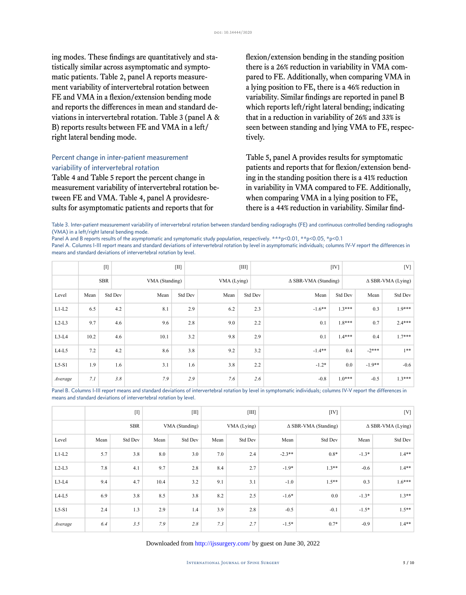ing modes. These findings are quantitatively and statistically similar across asymptomatic and symptomatic patients. [Table 2,](#page-4-0) panel A reports measurement variability of intervertebral rotation between FE and VMA in a flexion/extension bending mode and reports the differences in mean and standard deviations in intervertebral rotation. [Table 3](#page-5-0) (panel A & B) reports results between FE and VMA in a left/ right lateral bending mode.

### Percent change in inter-patient measurement variability of intervertebral rotation

[Table 4](#page-6-0) and [Table 5](#page-6-1) report the percent change in measurement variability of intervertebral rotation between FE and VMA. Table 4, panel A providesresults for asymptomatic patients and reports that for

flexion/extension bending in the standing position there is a 26% reduction in variability in VMA compared to FE. Additionally, when comparing VMA in a lying position to FE, there is a 46% reduction in variability. Similar findings are reported in panel B which reports left/right lateral bending; indicating that in a reduction in variability of 26% and 33% is seen between standing and lying VMA to FE, respectively.

[Table 5](#page-6-1), panel A provides results for symptomatic patients and reports that for flexion/extension bending in the standing position there is a 41% reduction in variability in VMA compared to FE. Additionally, when comparing VMA in a lying position to FE, there is a 44% reduction in variability. Similar find-

<span id="page-5-0"></span>Table 3. Inter-patient measurement variability of intervertebral rotation between standard bending radiograghs (FE) and continuous controlled bending radiograghs (VMA) in a left/right lateral bending mode.

Panel A and B reports results of the asymptomatic and symptomatic study population, respectively. \*\*\*p<0.01, \*\*p<0.05, \*p<0.1

Panel A. Columns I-III report means and standard deviations of intervertebral rotation by level in asymptomatic individuals; columns IV-V report the differences in means and standard deviations of intervertebral rotation by level.

|         |      | $[1] % \centering \includegraphics[width=0.9\columnwidth]{figures/fig_10.pdf} \caption{The average number of times on the left and right. The average number of times on the right.} \label{fig:fig_10.pdf}$ |         |                | $[{\rm II}]$ |             | [III] |                             |         | [IV]      |                          |          |          | [V]      |
|---------|------|--------------------------------------------------------------------------------------------------------------------------------------------------------------------------------------------------------------|---------|----------------|--------------|-------------|-------|-----------------------------|---------|-----------|--------------------------|----------|----------|----------|
|         |      | <b>SBR</b>                                                                                                                                                                                                   |         | VMA (Standing) |              | VMA (Lying) |       | $\Delta$ SBR-VMA (Standing) |         |           | $\Delta$ SBR-VMA (Lying) |          |          |          |
| Level   | Mean |                                                                                                                                                                                                              | Std Dev | Mean           | Std Dev      |             | Mean  |                             | Std Dev | Mean      |                          | Std Dev  | Mean     | Std Dev  |
| $L1-L2$ | 6.5  |                                                                                                                                                                                                              | 4.2     | 8.1            |              | 2.9         | 6.2   |                             | 2.3     | $-1.6***$ |                          | $1.3***$ | 0.3      | $1.9***$ |
| $L2-L3$ | 9.7  |                                                                                                                                                                                                              | 4.6     | 9.6            |              | 2.8         | 9.0   |                             | 2.2     | 0.1       |                          | $1.8***$ | 0.7      | $2.4***$ |
| $L3-L4$ | 10.2 |                                                                                                                                                                                                              | 4.6     | 10.1           |              | 3.2         | 9.8   |                             | 2.9     | 0.1       |                          | $1.4***$ | 0.4      | $1.7***$ |
| $L4-L5$ | 7.2  |                                                                                                                                                                                                              | 4.2     | 8.6            |              | 3.8         | 9.2   |                             | 3.2     | $-1.4**$  |                          | 0.4      | $-2***$  | $1***$   |
| $L5-S1$ | 1.9  |                                                                                                                                                                                                              | 1.6     | 3.1            |              | 1.6         | 3.8   |                             | 2.2     | $-1.2*$   |                          | 0.0      | $-1.9**$ | $-0.6$   |
| Average | 7.1  |                                                                                                                                                                                                              | 3.8     | 7.9            |              | 2.9         | 7.6   |                             | 2.6     | $-0.8$    |                          | $1.0***$ | $-0.5$   | $1.3***$ |

Panel B. Columns I-III report means and standard deviations of intervertebral rotation by level in symptomatic individuals; columns IV-V report the differences in means and standard deviations of intervertebral rotation by level.

|         | $[1]$      |         |                | [II]    | [III]       |         |                                | [IV]    |                          | [V]      |  |
|---------|------------|---------|----------------|---------|-------------|---------|--------------------------------|---------|--------------------------|----------|--|
|         | <b>SBR</b> |         | VMA (Standing) |         | VMA (Lying) |         | $\triangle$ SBR-VMA (Standing) |         | $\Delta$ SBR-VMA (Lying) |          |  |
| Level   | Mean       | Std Dev | Mean           | Std Dev | Mean        | Std Dev | Mean                           | Std Dev | Mean                     | Std Dev  |  |
| $L1-L2$ | 5.7        | 3.8     | 8.0            | 3.0     | 7.0         | 2.4     | $-2.3**$                       | $0.8*$  | $-1.3*$                  | $1.4**$  |  |
| $L2-L3$ | 7.8        | 4.1     | 9.7            | 2.8     | 8.4         | 2.7     | $-1.9*$                        | $1.3**$ | $-0.6$                   | $1.4**$  |  |
| $L3-L4$ | 9.4        | 4.7     | 10.4           | 3.2     | 9.1         | 3.1     | $-1.0$                         | $1.5**$ | 0.3                      | $1.6***$ |  |
| $L4-L5$ | 6.9        | 3.8     | 8.5            | 3.8     | 8.2         | 2.5     | $-1.6*$                        | 0.0     | $-1.3*$                  | $1.3**$  |  |
| $L5-S1$ | 2.4        | 1.3     | 2.9            | 1.4     | 3.9         | 2.8     | $-0.5$                         | $-0.1$  | $-1.5*$                  | $1.5**$  |  |
| Average | 6.4        | 3.5     | 7.9            | 2.8     | 7.3         | 2.7     | $-1.5*$                        | $0.7*$  | $-0.9$                   | $1.4**$  |  |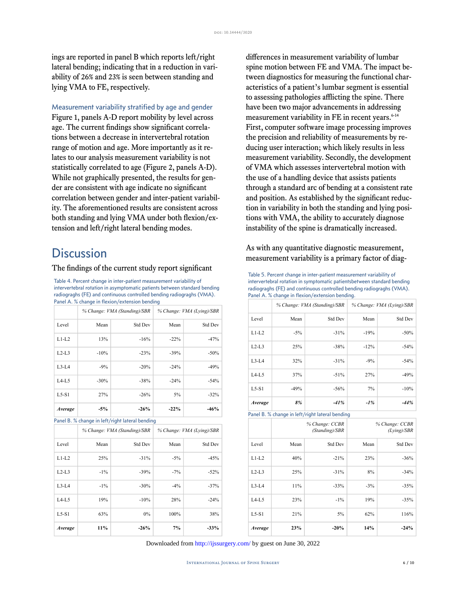ings are reported in panel B which reports left/right lateral bending; indicating that in a reduction in variability of 26% and 23% is seen between standing and lying VMA to FE, respectively.

#### Measurement variability stratified by age and gender

Figure 1, panels A-D report mobility by level across age. The current findings show significant correlations between a decrease in intervertebral rotation range of motion and age. More importantly as it relates to our analysis measurement variability is not statistically correlated to age (Figure 2, panels A-D). While not graphically presented, the results for gender are consistent with age indicate no significant correlation between gender and inter-patient variability. The aforementioned results are consistent across both standing and lying VMA under both flexion/extension and left/right lateral bending modes.

## **Discussion**

<span id="page-6-1"></span>The findings of the current study report significant

<span id="page-6-0"></span>Table 4. Percent change in inter-patient measurement variability of intervertebral rotation in asymptomatic patients between standard bending radiograghs (FE) and continuous controlled bending radiograghs (VMA). Panel A. % change in flexion/extension bending

|          |         | % Change: VMA (Standing)/SBR | % Change: VMA (Lying)/SBR |                |  |
|----------|---------|------------------------------|---------------------------|----------------|--|
| Level    | Mean    | <b>Std Dev</b>               | Mean                      | <b>Std Dev</b> |  |
| $L1-I.2$ | 13%     | $-16%$                       | $-22\%$                   | $-47%$         |  |
| $L2-I.3$ | $-10%$  | $-23%$                       | $-39%$                    | $-50\%$        |  |
| $L3-L4$  | $-9\%$  | $-20%$                       | $-24%$                    | $-49%$         |  |
| $IA-I.5$ | $-30\%$ | $-38%$                       | $-24%$                    | $-54%$         |  |
| $L5-S1$  | 27%     | $-26%$                       | $5\%$                     | $-32\%$        |  |
| Average  | $-5\%$  | $-26%$                       | $-22%$                    | $-46%$         |  |

|          |        | % Change: VMA (Standing)/SBR | % Change: VMA (Lying)/SBR |         |  |
|----------|--------|------------------------------|---------------------------|---------|--|
| Level    | Mean   | <b>Std Dev</b>               | Mean                      | Std Dev |  |
| $L1-I.2$ | 25%    | $-31\%$                      | $-5\%$                    | $-45%$  |  |
| $L2-L3$  | $-1\%$ | $-39%$                       | $-7\%$                    | $-52%$  |  |
| $L3-L4$  | $-1\%$ | $-30\%$                      | $-4\%$                    | $-37%$  |  |
| $L4-L5$  | 19%    | $-10\%$                      | 28%                       | $-24%$  |  |
| $L5-S1$  | 63%    | $0\%$                        | $100\%$                   | 38%     |  |
| Average  | 11%    | $-26%$                       | 7%                        | $-33%$  |  |

Panel B. % change in left/right lateral bending

differences in measurement variability of lumbar spine motion between FE and VMA. The impact between diagnostics for measuring the functional characteristics of a patient's lumbar segment is essential to assessing pathologies afflicting the spine. There have been two major advancements in addressing measurement variability in FE in recent years.<sup>6-14</sup> First, computer software image processing improves the precision and reliability of measurements by reducing user interaction; which likely results in less measurement variability. Secondly, the development of VMA which assesses intervertebral motion with the use of a handling device that assists patients through a standard arc of bending at a consistent rate and position. As established by the significant reduction in variability in both the standing and lying positions with VMA, the ability to accurately diagnose instability of the spine is dramatically increased.

As with any quantitative diagnostic measurement, measurement variability is a primary factor of diag-

Table 5. Percent change in inter-patient measurement variability of intervertebral rotation in symptomatic patientsbetween standard bending radiograghs (FE) and continuous controlled bending radiograghs (VMA). Panel A. % change in flexion/extension bending.

|         |        | % Change: VMA (Standing)/SBR | % Change: VMA (Lying)/SBR |                |  |  |
|---------|--------|------------------------------|---------------------------|----------------|--|--|
| Level   | Mean   | <b>Std Dev</b>               | Mean                      | <b>Std Dev</b> |  |  |
| $L1-L2$ | $-5\%$ | $-31%$                       | $-19%$                    | $-50\%$        |  |  |
| $L2-L3$ | 25%    | $-38%$                       | $-12%$                    | $-54%$         |  |  |
| $L3-L4$ | 32%    | $-31%$                       | $-9%$                     | $-54%$         |  |  |
| $L4-L5$ | 37%    | $-51\%$                      | 27%                       | $-49%$         |  |  |
| $L5-S1$ | $-49%$ | $-56%$                       | $7\%$                     | $-10%$         |  |  |
| Average | 8%     | $-41%$                       | $-1\%$                    | $-44%$         |  |  |

Panel B. % change in left/right lateral bending

|          |      | % Change: CCBR<br>(Standing)/SBR |        | % Change: CCBR<br>(Lving)/SBR |
|----------|------|----------------------------------|--------|-------------------------------|
| Level    | Mean | <b>Std Dev</b>                   | Mean   | <b>Std Dev</b>                |
| $L1-I.2$ | 40%  | $-21%$                           | 23%    | $-36%$                        |
| $L2-I.3$ | 25%  | $-31%$                           | 8%     | $-34%$                        |
| $L3-L4$  | 11%  | $-33%$                           | $-3\%$ | $-35%$                        |
| $L4-L5$  | 23%  | $-1\%$                           | 19%    | $-35%$                        |
| $L5-S1$  | 21%  | $5\%$                            | 62%    | 116%                          |
| Average  | 23%  | $-20%$                           | 14%    | $-24%$                        |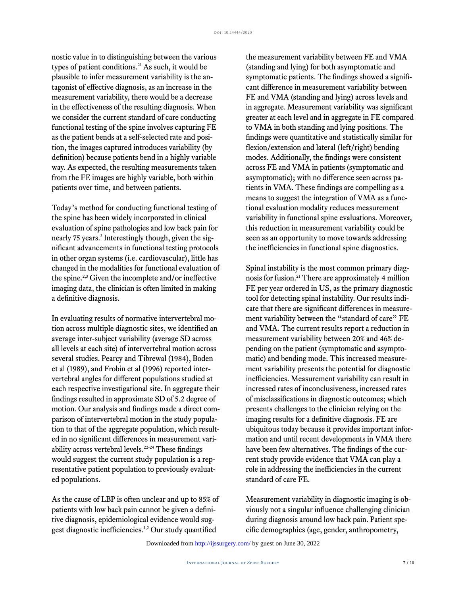nostic value in to distinguishing between the various types of patient conditions.<sup>21</sup> As such, it would be plausible to infer measurement variability is the antagonist of effective diagnosis, as an increase in the measurement variability, there would be a decrease in the effectiveness of the resulting diagnosis. When we consider the current standard of care conducting functional testing of the spine involves capturing FE as the patient bends at a self-selected rate and position, the images captured introduces variability (by definition) because patients bend in a highly variable way. As expected, the resulting measurements taken from the FE images are highly variable, both within patients over time, and between patients.

Today's method for conducting functional testing of the spine has been widely incorporated in clinical evaluation of spine pathologies and low back pain for nearly 75 years.<sup>3</sup> Interestingly though, given the significant advancements in functional testing protocols in other organ systems (i.e. cardiovascular), little has changed in the modalities for functional evaluation of the spine.<sup>2,3</sup> Given the incomplete and/or ineffective imaging data, the clinician is often limited in making a definitive diagnosis.

In evaluating results of normative intervertebral motion across multiple diagnostic sites, we identified an average inter-subject variability (average SD across all levels at each site) of intervertebral motion across several studies. Pearcy and Tibrewal (1984), Boden et al (1989), and Frobin et al (1996) reported intervertebral angles for different populations studied at each respective investigational site. In aggregate their findings resulted in approximate SD of 5.2 degree of motion. Our analysis and findings made a direct comparison of intervertebral motion in the study population to that of the aggregate population, which resulted in no significant differences in measurement variability across vertebral levels.<sup> $22-24$ </sup> These findings would suggest the current study population is a representative patient population to previously evaluated populations.

As the cause of LBP is often unclear and up to 85% of patients with low back pain cannot be given a definitive diagnosis, epidemiological evidence would suggest diagnostic inefficiencies.1,2 Our study quantified

the measurement variability between FE and VMA (standing and lying) for both asymptomatic and symptomatic patients. The findings showed a significant difference in measurement variability between FE and VMA (standing and lying) across levels and in aggregate. Measurement variability was significant greater at each level and in aggregate in FE compared to VMA in both standing and lying positions. The findings were quantitative and statistically similar for flexion/extension and lateral (left/right) bending modes. Additionally, the findings were consistent across FE and VMA in patients (symptomatic and asymptomatic); with no difference seen across patients in VMA. These findings are compelling as a means to suggest the integration of VMA as a functional evaluation modality reduces measurement variability in functional spine evaluations. Moreover, this reduction in measurement variability could be seen as an opportunity to move towards addressing the inefficiencies in functional spine diagnostics.

Spinal instability is the most common primary diagnosis for fusion.<sup>21</sup> There are approximately 4 million FE per year ordered in US, as the primary diagnostic tool for detecting spinal instability. Our results indicate that there are significant differences in measurement variability between the "standard of care" FE and VMA. The current results report a reduction in measurement variability between 20% and 46% depending on the patient (symptomatic and asymptomatic) and bending mode. This increased measurement variability presents the potential for diagnostic inefficiencies. Measurement variability can result in increased rates of inconclusiveness, increased rates of misclassifications in diagnostic outcomes; which presents challenges to the clinician relying on the imaging results for a definitive diagnosis. FE are ubiquitous today because it provides important information and until recent developments in VMA there have been few alternatives. The findings of the current study provide evidence that VMA can play a role in addressing the inefficiencies in the current standard of care FE.

Measurement variability in diagnostic imaging is obviously not a singular influence challenging clinician during diagnosis around low back pain. Patient specific demographics (age, gender, anthropometry,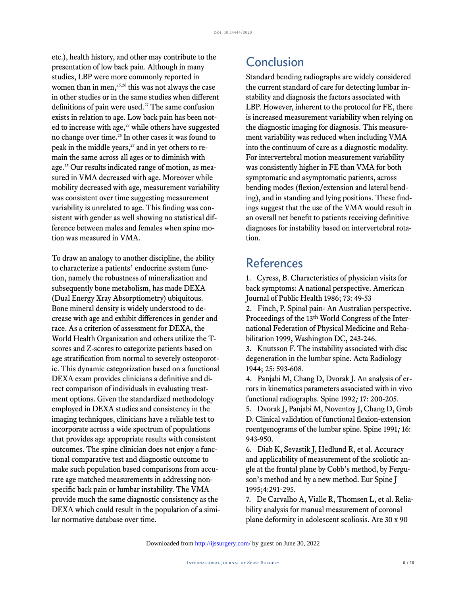etc.), health history, and other may contribute to the presentation of low back pain. Although in many studies, LBP were more commonly reported in women than in men, $^{25,26}$  this was not always the case in other studies or in the same studies when different definitions of pain were used.<sup>27</sup> The same confusion exists in relation to age. Low back pain has been noted to increase with age, $27$  while others have suggested no change over time.<sup>25</sup> In other cases it was found to peak in the middle years,<sup>27</sup> and in yet others to remain the same across all ages or to diminish with age.<sup>25</sup> Our results indicated range of motion, as measured in VMA decreased with age. Moreover while mobility decreased with age, measurement variability was consistent over time suggesting measurement variability is unrelated to age. This finding was consistent with gender as well showing no statistical difference between males and females when spine motion was measured in VMA.

To draw an analogy to another discipline, the ability to characterize a patients' endocrine system function, namely the robustness of mineralization and subsequently bone metabolism, has made DEXA (Dual Energy Xray Absorptiometry) ubiquitous. Bone mineral density is widely understood to decrease with age and exhibit differences in gender and race. As a criterion of assessment for DEXA, the World Health Organization and others utilize the Tscores and Z-scores to categorize patients based on age stratification from normal to severely osteoporotic. This dynamic categorization based on a functional DEXA exam provides clinicians a definitive and direct comparison of individuals in evaluating treatment options. Given the standardized methodology employed in DEXA studies and consistency in the imaging techniques, clinicians have a reliable test to incorporate across a wide spectrum of populations that provides age appropriate results with consistent outcomes. The spine clinician does not enjoy a functional comparative test and diagnostic outcome to make such population based comparisons from accurate age matched measurements in addressing nonspecific back pain or lumbar instability. The VMA provide much the same diagnostic consistency as the DEXA which could result in the population of a similar normative database over time.

## **Conclusion**

Standard bending radiographs are widely considered the current standard of care for detecting lumbar instability and diagnosis the factors associated with LBP. However, inherent to the protocol for FE, there is increased measurement variability when relying on the diagnostic imaging for diagnosis. This measurement variability was reduced when including VMA into the continuum of care as a diagnostic modality. For intervertebral motion measurement variability was consistently higher in FE than VMA for both symptomatic and asymptomatic patients, across bending modes (flexion/extension and lateral bending), and in standing and lying positions. These findings suggest that the use of the VMA would result in an overall net benefit to patients receiving definitive diagnoses for instability based on intervertebral rotation.

## References

1. Cyress, B. Characteristics of physician visits for back symptoms: A national perspective. American Journal of Public Health 1986; 73: 49-53

2. Finch, P. Spinal pain- An Australian perspective. Proceedings of the 13th World Congress of the International Federation of Physical Medicine and Rehabilitation 1999, Washington DC, 243-246.

3. [Knutsson F. The instability associated with disc](http://dx.doi.org/10.3109/00016924409136488) [degeneration in the lumbar spine. Acta Radiology](http://dx.doi.org/10.3109/00016924409136488) [1944; 25: 593-608.](http://dx.doi.org/10.3109/00016924409136488)

4. [Panjabi M, Chang D, Dvorak J. An analysis of er](http://dx.doi.org/10.1097/00007632-199202000-00014)[rors in kinematics parameters associated with in vivo](http://dx.doi.org/10.1097/00007632-199202000-00014) [functional radiographs. Spine 1992](http://dx.doi.org/10.1097/00007632-199202000-00014)*;* 17: 200-205.

5. [Dvorak J, Panjabi M, Noventoy J, Chang D, Grob](http://dx.doi.org/10.1097/00007632-199108000-00014) [D. Clinical validation of functional flexion-extension](http://dx.doi.org/10.1097/00007632-199108000-00014) [roentgenograms of the lumbar spine. Spine 1991](http://dx.doi.org/10.1097/00007632-199108000-00014)*;* 16: [943-950.](http://dx.doi.org/10.1097/00007632-199108000-00014)

6. [Diab K, Sevastik J, Hedlund R, et al. Accuracy](http://dx.doi.org/10.1007/bf00301037) [and applicability of measurement of the scoliotic an](http://dx.doi.org/10.1007/bf00301037)[gle at the frontal plane by Cobb's method, by Fergu](http://dx.doi.org/10.1007/bf00301037)[son's method and by a new method. Eur Spine J](http://dx.doi.org/10.1007/bf00301037) [1995;4:291-295.](http://dx.doi.org/10.1007/bf00301037)

7. [De Carvalho A, Vialle R, Thomsen L, et al. Relia](http://dx.doi.org/10.1007/s00586-007-0437-4)[bility analysis for manual measurement of coronal](http://dx.doi.org/10.1007/s00586-007-0437-4) [plane deformity in adolescent scoliosis. Are 30 x 90](http://dx.doi.org/10.1007/s00586-007-0437-4)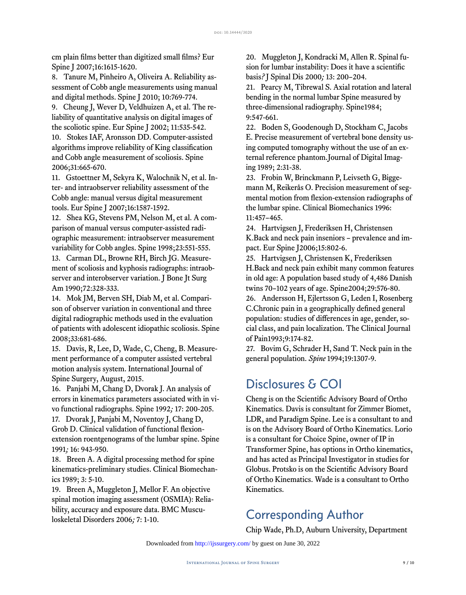[cm plain films better than digitized small films? Eur](http://dx.doi.org/10.1007/s00586-007-0437-4) [Spine J 2007;16:1615-1620.](http://dx.doi.org/10.1007/s00586-007-0437-4)

8. [Tanure M, Pinheiro A, Oliveira A. Reliability as](http://dx.doi.org/10.1016/j.spinee.2010.02.020)[sessment of Cobb angle measurements using manual](http://dx.doi.org/10.1016/j.spinee.2010.02.020) [and digital methods. Spine J 2010; 10:769-774.](http://dx.doi.org/10.1016/j.spinee.2010.02.020)

9. [Cheung J, Wever D, Veldhuizen A, et al. The re](http://dx.doi.org/10.1007/s00586-001-0381-7)[liability of quantitative analysis on digital images of](http://dx.doi.org/10.1007/s00586-001-0381-7) [the scoliotic spine. Eur Spine J 2002; 11:535-542.](http://dx.doi.org/10.1007/s00586-001-0381-7) 10. [Stokes IAF, Aronsson DD. Computer-assisted](http://dx.doi.org/10.1097/01.brs.0000203708.49972.ab)

[algorithms improve reliability of King classification](http://dx.doi.org/10.1097/01.brs.0000203708.49972.ab) [and Cobb angle measurement of scoliosis. Spine](http://dx.doi.org/10.1097/01.brs.0000203708.49972.ab) [2006;31:665-670.](http://dx.doi.org/10.1097/01.brs.0000203708.49972.ab)

11. [Gstoettner M, Sekyra K, Walochnik N, et al. In](http://dx.doi.org/10.1007/s00586-007-0401-3)[ter- and intraobserver reliability assessment of the](http://dx.doi.org/10.1007/s00586-007-0401-3) [Cobb angle: manual versus digital measurement](http://dx.doi.org/10.1007/s00586-007-0401-3) [tools. Eur Spine J 2007;16:1587-1592.](http://dx.doi.org/10.1007/s00586-007-0401-3)

12. [Shea KG, Stevens PM, Nelson M, et al. A com](http://dx.doi.org/10.1097/00007632-199803010-00007)[parison of manual versus computer-assisted radi](http://dx.doi.org/10.1097/00007632-199803010-00007)[ographic measurement: intraobserver measurement](http://dx.doi.org/10.1097/00007632-199803010-00007) [variability for Cobb angles. Spine 1998;23:551-555.](http://dx.doi.org/10.1097/00007632-199803010-00007)

13. Carman DL, Browne RH, Birch JG. Measurement of scoliosis and kyphosis radiographs: intraobserver and interobserver variation. J Bone Jt Surg Am 1990;72:328-333.

14. [Mok JM, Berven SH, Diab M, et al. Compari](http://dx.doi.org/10.1097/brs.0b013e318166aa8d)[son of observer variation in conventional and three](http://dx.doi.org/10.1097/brs.0b013e318166aa8d) [digital radiographic methods used in the evaluation](http://dx.doi.org/10.1097/brs.0b013e318166aa8d) [of patients with adolescent idiopathic scoliosis. Spine](http://dx.doi.org/10.1097/brs.0b013e318166aa8d) [2008;33:681-686.](http://dx.doi.org/10.1097/brs.0b013e318166aa8d)

15. [Davis, R, Lee, D, Wade, C, Cheng, B. Measure](http://dx.doi.org/10.14444/2036)[ment performance of a computer assisted vertebral](http://dx.doi.org/10.14444/2036) [motion analysis system. International Journal of](http://dx.doi.org/10.14444/2036) [Spine Surgery, August, 2015.](http://dx.doi.org/10.14444/2036)

16. [Panjabi M, Chang D, Dvorak J. An analysis of](http://dx.doi.org/10.1097/00007632-199202000-00014) [errors in kinematics parameters associated with in vi](http://dx.doi.org/10.1097/00007632-199202000-00014)[vo functional radiographs. Spine 1992](http://dx.doi.org/10.1097/00007632-199202000-00014)*;* 17: 200-205.

17. [Dvorak J, Panjabi M, Noventoy J, Chang D,](http://dx.doi.org/10.1097/00007632-199108000-00014) [Grob D. Clinical validation of functional flexion](http://dx.doi.org/10.1097/00007632-199108000-00014)[extension roentgenograms of the lumbar spine. Spine](http://dx.doi.org/10.1097/00007632-199108000-00014) 1991*;* [16: 943-950.](http://dx.doi.org/10.1097/00007632-199108000-00014)

18. Breen A. A digital processing method for spine kinematics-preliminary studies. Clinical Biomechanics 1989; 3: 5-10.

19. Breen A, Muggleton J, Mellor F. An objective spinal motion imaging assessment (OSMIA): Reliability, accuracy and exposure data. BMC Musculoskeletal Disorders 2006*;* 7: 1-10.

20. [Muggleton J, Kondracki M, Allen R. Spinal fu](http://dx.doi.org/10.1097/00002517-200006000-00002)[sion for lumbar instability: Does it have a scientific](http://dx.doi.org/10.1097/00002517-200006000-00002) basis*?* [J Spinal Dis 2000](http://dx.doi.org/10.1097/00002517-200006000-00002)*;* 13: 200–204.

21. [Pearcy M, Tibrewal S. Axial rotation and lateral](http://dx.doi.org/10.1097/00007632-198409000-00008) [bending in the normal lumbar Spine measured by](http://dx.doi.org/10.1097/00007632-198409000-00008) [three-dimensional radiography. Spine1984;](http://dx.doi.org/10.1097/00007632-198409000-00008) [9:547-661.](http://dx.doi.org/10.1097/00007632-198409000-00008)

22. [Boden S, Goodenough D, Stockham C, Jacobs](http://dx.doi.org/10.1007/bf03168013) [E. Precise measurement of vertebral bone density us](http://dx.doi.org/10.1007/bf03168013)[ing computed tomography without the use of an ex](http://dx.doi.org/10.1007/bf03168013)[ternal reference phantom.Journal of Digital Imag](http://dx.doi.org/10.1007/bf03168013)[ing 1989; 2:31-38.](http://dx.doi.org/10.1007/bf03168013)

23. [Frobin W, Brinckmann P, Leivseth G, Bigge](http://dx.doi.org/10.1016/s0268-0033(96)00039-3)[mann M, Reikerås O. Precision measurement of seg](http://dx.doi.org/10.1016/s0268-0033(96)00039-3)[mental motion from flexion-extension radiographs of](http://dx.doi.org/10.1016/s0268-0033(96)00039-3) [the lumbar spine. Clinical Biomechanics 1996:](http://dx.doi.org/10.1016/s0268-0033(96)00039-3) [11:457–465.](http://dx.doi.org/10.1016/s0268-0033(96)00039-3)

24. [Hartvigsen J, Frederiksen H, Christensen](http://dx.doi.org/10.1007/s00586-005-0983-6) [K.Back and neck pain inseniors – prevalence and im](http://dx.doi.org/10.1007/s00586-005-0983-6)[pact. Eur Spine J2006;15:802-6.](http://dx.doi.org/10.1007/s00586-005-0983-6)

25. [Hartvigsen J, Christensen K, Frederiksen](http://dx.doi.org/10.1097/01.brs.0000099394.18994.2f) [H.Back and neck pain exhibit many common features](http://dx.doi.org/10.1097/01.brs.0000099394.18994.2f) [in old age: A population based study of 4,486 Danish](http://dx.doi.org/10.1097/01.brs.0000099394.18994.2f) [twins 70–102 years of age. Spine2004;29:576-80.](http://dx.doi.org/10.1097/01.brs.0000099394.18994.2f)

26. [Andersson H, Ejlertsson G, Leden I, Rosenberg](http://dx.doi.org/10.1097/00002508-199309000-00004) [C.Chronic pain in a geographically defined general](http://dx.doi.org/10.1097/00002508-199309000-00004) [population: studies of differences in age, gender, so](http://dx.doi.org/10.1097/00002508-199309000-00004)[cial class, and pain localization. The Clinical Journal](http://dx.doi.org/10.1097/00002508-199309000-00004) [of Pain1993;9:174-82.](http://dx.doi.org/10.1097/00002508-199309000-00004)

27. [Bovim G, Schrader H, Sand T. Neck pain in the](http://dx.doi.org/10.1097/00007632-199406000-00001) [general population.](http://dx.doi.org/10.1097/00007632-199406000-00001) *Spine* 1994;19:1307-9.

# Disclosures & COI

Cheng is on the Scientific Advisory Board of Ortho Kinematics. Davis is consultant for Zimmer Biomet, LDR, and Paradigm Spine. Lee is a consultant to and is on the Advisory Board of Ortho Kinematics. Lorio is a consultant for Choice Spine, owner of IP in Transformer Spine, has options in Ortho kinematics, and has acted as Principal Investigator in studies for Globus. Protsko is on the Scientific Advisory Board of Ortho Kinematics. Wade is a consultant to Ortho Kinematics.

# Corresponding Author

Chip Wade, Ph.D, Auburn University, Department